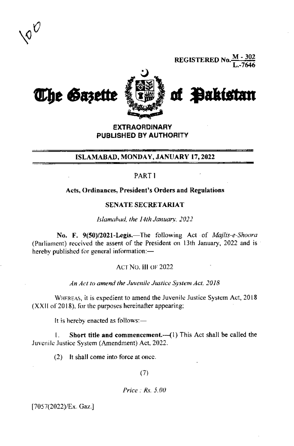

**REGISTERED No.**  $\frac{M-302}{I-7646}$ 



**EXTRAORDINARY** PUBLISHED BY AUTHORITY

## ISLAMABAD, MONDAY, JANUARY 17, 2022

## PART<sub>1</sub>

#### Acts, Ordinances, President's Orders and Regulations

### SENATE SECRETARIAT

Islamabad, the 14th January. 2022

No. F. 9(50)/2021-Legis.—The following Act of *Majlis-e-Shoora* (Parliament) received the assent of the President on 13th January, 2022 and is a hereby published for general information:-

## ACT NO. III OF 2022

An Act to amend the Juvenile Justice System Act, 2018

WHEREAS, it is expedient to amend the Juvenile Justice System Act, 2018 (XXII of 2018), for the purposes hereinafter appearing;

It is hereby enacted as follows:-

Short title and commencement.-- (1) This Act shall be called the  $\mathbf{L}$ Juvenile Justice System (Amendment) Act, 2022.

(2) It shall come into force at once.

 $(7)$ 

Price  $Rs$ , 5.00

[7057(2022)/Ex. Gaz.]